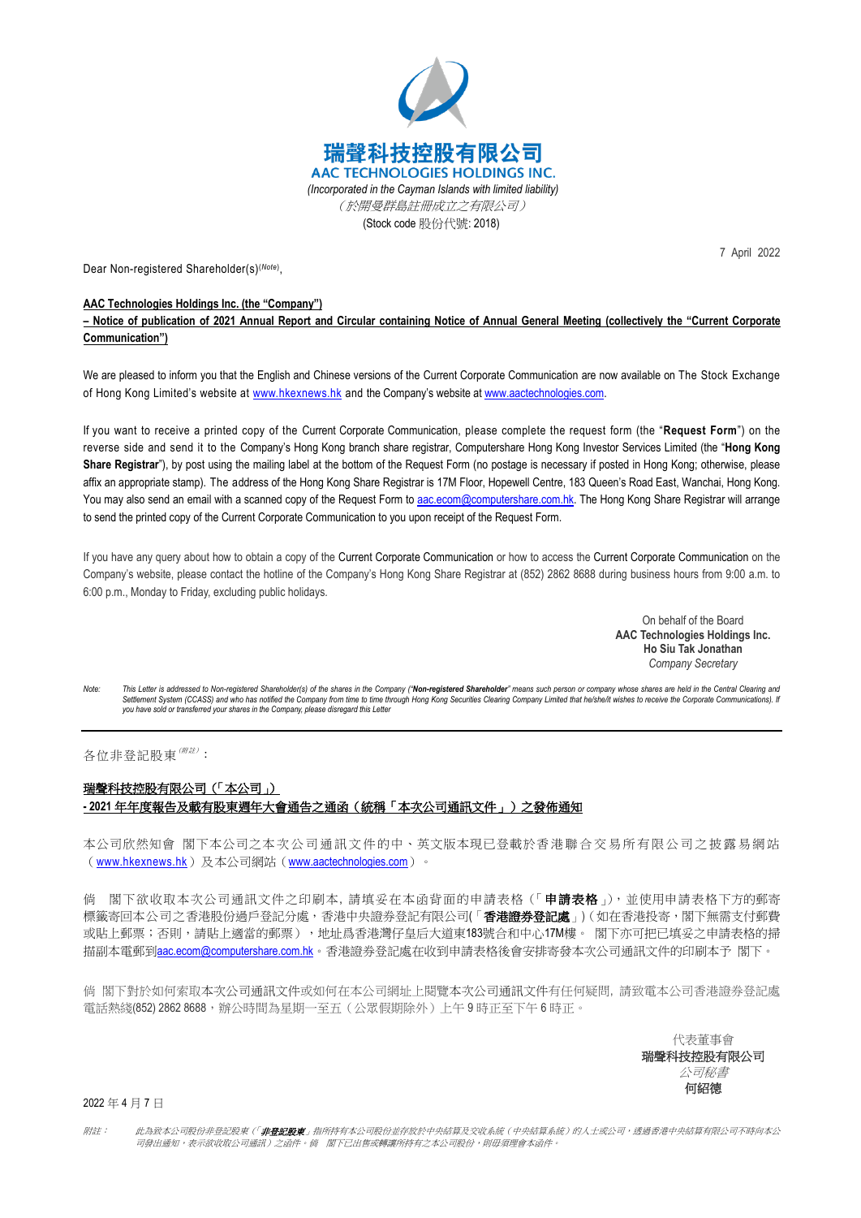

Dear Non-registered Shareholder(s)(*Note*) ,

7 April 2022

## **AAC Technologies Holdings Inc. (the "Company")**

**– Notice of publication of 2021 Annual Report and Circular containing Notice of Annual General Meeting (collectively the "Current Corporate Communication")**

We are pleased to inform you that the English and Chinese versions of the Current Corporate Communication are now available on The Stock Exchange of Hong Kong Limited's website at [www.hkexnews.hk](http://www.hkexnews.hk/) and the Company's website at [www.aactechnologies.com.](http://www.aactechnologies.com/) 

If you want to receive a printed copy of the Current Corporate Communication, please complete the request form (the "**Request Form**") on the reverse side and send it to the Company's Hong Kong branch share registrar, Computershare Hong Kong Investor Services Limited (the "**Hong Kong Share Registrar**"), by post using the mailing label at the bottom of the Request Form (no postage is necessary if posted in Hong Kong; otherwise, please affix an appropriate stamp). The address of the Hong Kong Share Registrar is 17M Floor, Hopewell Centre, 183 Queen's Road East, Wanchai, Hong Kong. You may also send an email with a scanned copy of the Request Form to [aac.ecom@computershare.com.hk.](mailto:aac.ecom@computershare.com.hk) The Hong Kong Share Registrar will arrange to send the printed copy of the Current Corporate Communication to you upon receipt of the Request Form.

If you have any query about how to obtain a copy of the Current Corporate Communication or how to access the Current Corporate Communication on the Company's website, please contact the hotline of the Company's Hong Kong Share Registrar at (852) 2862 8688 during business hours from 9:00 a.m. to 6:00 p.m., Monday to Friday, excluding public holidays.

> On behalf of the Board **AAC Technologies Holdings Inc. Ho Siu Tak Jonathan** *Company Secretary*

Note: This Letter is addressed to Non-registered Shareholder(s) of the shares in the Company ("Non-registered Shareholder" means such person or company whose shares are held in the Central Clearing and Settlement System (CCASS) and who has notified the Company from time to time through Hong Kong Securities Clearing Company Limited that he/she/it wishes to receive the Corporate Communications). If *you have sold or transferred your shares in the Company, please disregard this Letter*

各位非登記股東(<sup>/#註)</sup>:

## 瑞聲科技控股有限公司(「本公司」) **- 2021** 年年度報告及載有股東週年大會通告之通函(統稱「本次公司通訊文件」)之發佈通知

本公司欣然知會 閣下本公司之本次公司通訊文件的中、英文版本現已登載於香港聯合交易所有限公司之披露易網站 ([www.hkexnews.hk](http://www.hkexnews.hk/))及本公司網站([www.aactechnologies.com](http://www.aactechnologies.com/))。

倘 閣下欲收取本次公司通訊文件之印刷本, 請填妥在本函背面的申請表格(「申請表格」), 並使用申請表格下方的郵寄 標籤寄回本公司之香港股份過戶登記分處,香港中央證券登記有限公司(「**香港證券登記處**」)(如在香港投寄,閣下無需支付郵費 或貼上郵票;否則,請貼上適當的郵票),地址爲香港灣仔皇后大道東183號合和中心17M樓。 閣下亦可把已填妥之申請表格的掃 描副本電郵到[aac.ecom@computershare.com.hk](mailto:aac.ecom@computershare.com.hk)。香港證券登記處在收到申請表格後會安排寄發本次公司通訊文件的印刷本予 閣下。

倘 閣下對於如何索取本次公司通訊文件或如何在本公司網址上閱覽本次公司通訊文件有任何疑問, 請致電本公司香港證券登記處 電話熱綫(852) 2862 8688,辦公時間為星期一至五(公眾假期除外)上午 9 時正至下午 6 時正。

> 代表董事會 瑞聲科技控股有限公司 公司秘書 何紹德

2022 年 4 月 7 日

附註: 此為致本公司股份非登記股東(「**非登記股東**」指所持有本公司股份並存放於中央結算及交收系統(中央結算系統)的人士或公司,透過香港中央結算有限公司不時向本公 司發出通知,表示欲收取公司通訊)之函件。倘 閣下已出售或轉讓所持有之本公司股份,則毋須理會本函件。